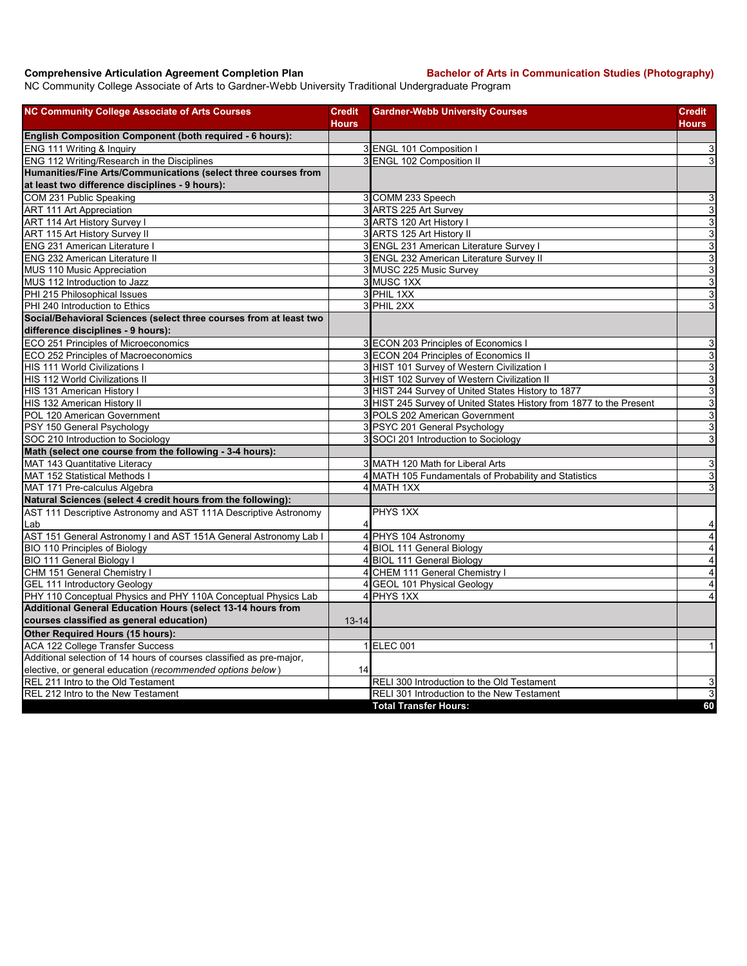**Comprehensive Articulation Agreement Completion Plan Bachelor of Arts in Communication Studies (Photography)** 

NC Community College Associate of Arts to Gardner-Webb University Traditional Undergraduate Program

| <b>NC Community College Associate of Arts Courses</b>                | <b>Credit</b><br><b>Hours</b> | <b>Gardner-Webb University Courses</b>                              | <b>Credit</b><br><b>Hours</b> |
|----------------------------------------------------------------------|-------------------------------|---------------------------------------------------------------------|-------------------------------|
| English Composition Component (both required - 6 hours):             |                               |                                                                     |                               |
| ENG 111 Writing & Inquiry                                            |                               | 3 ENGL 101 Composition I                                            | 3                             |
| ENG 112 Writing/Research in the Disciplines                          |                               | 3 ENGL 102 Composition II                                           | 3                             |
| Humanities/Fine Arts/Communications (select three courses from       |                               |                                                                     |                               |
| at least two difference disciplines - 9 hours):                      |                               |                                                                     |                               |
| COM 231 Public Speaking                                              |                               | 3 COMM 233 Speech                                                   | $\ensuremath{\mathsf{3}}$     |
| <b>ART 111 Art Appreciation</b>                                      |                               | 3 ARTS 225 Art Survey                                               | $\overline{3}$                |
| ART 114 Art History Survey I                                         |                               | 3 ARTS 120 Art History I                                            | $\overline{3}$                |
| ART 115 Art History Survey II                                        |                               | 3 ARTS 125 Art History II                                           | $\sqrt{3}$                    |
| <b>ENG 231 American Literature I</b>                                 |                               | 3 ENGL 231 American Literature Survey I                             | $\mathsf 3$                   |
| <b>ENG 232 American Literature II</b>                                |                               | 3 ENGL 232 American Literature Survey II                            | 3                             |
| MUS 110 Music Appreciation                                           |                               | 3 MUSC 225 Music Survey                                             | $\overline{3}$                |
| MUS 112 Introduction to Jazz                                         |                               | 3 MUSC 1XX                                                          | $\sqrt{3}$                    |
| PHI 215 Philosophical Issues                                         |                               | 3 PHIL 1XX                                                          | 3                             |
| PHI 240 Introduction to Ethics                                       |                               | 3 PHIL 2XX                                                          | 3                             |
| Social/Behavioral Sciences (select three courses from at least two   |                               |                                                                     |                               |
| difference disciplines - 9 hours):                                   |                               |                                                                     |                               |
| ECO 251 Principles of Microeconomics                                 |                               | 3 ECON 203 Principles of Economics I                                | $\sqrt{3}$                    |
| ECO 252 Principles of Macroeconomics                                 |                               | 3 ECON 204 Principles of Economics II                               | 3                             |
| <b>HIS 111 World Civilizations I</b>                                 |                               | 3 HIST 101 Survey of Western Civilization I                         | $\overline{3}$                |
| HIS 112 World Civilizations II                                       |                               | 3 HIST 102 Survey of Western Civilization II                        | 3                             |
| HIS 131 American History I                                           |                               | 3 HIST 244 Survey of United States History to 1877                  | $\mathsf 3$                   |
| HIS 132 American History II                                          |                               | 3 HIST 245 Survey of United States History from 1877 to the Present | $\overline{3}$                |
| POL 120 American Government                                          |                               | 3 POLS 202 American Government                                      | $\mathsf 3$                   |
| PSY 150 General Psychology                                           |                               | 3 PSYC 201 General Psychology                                       | 3                             |
| SOC 210 Introduction to Sociology                                    |                               | 3 SOCI 201 Introduction to Sociology                                | 3                             |
| Math (select one course from the following - 3-4 hours):             |                               |                                                                     |                               |
| MAT 143 Quantitative Literacy                                        |                               | 3 MATH 120 Math for Liberal Arts                                    | $\overline{3}$                |
| <b>MAT 152 Statistical Methods I</b>                                 |                               | 4 MATH 105 Fundamentals of Probability and Statistics               | $\mathsf 3$                   |
| MAT 171 Pre-calculus Algebra                                         |                               | 4 MATH 1XX                                                          | 3                             |
| Natural Sciences (select 4 credit hours from the following):         |                               |                                                                     |                               |
| AST 111 Descriptive Astronomy and AST 111A Descriptive Astronomy     |                               | PHYS 1XX                                                            |                               |
| lLab                                                                 |                               |                                                                     | 4                             |
| AST 151 General Astronomy I and AST 151A General Astronomy Lab I     |                               | 4 PHYS 104 Astronomy                                                | $\overline{\mathbf{4}}$       |
| <b>BIO 110 Principles of Biology</b>                                 |                               | 4 BIOL 111 General Biology                                          | $\overline{4}$                |
| BIO 111 General Biology I                                            |                               | 4 BIOL 111 General Biology                                          | $\overline{\mathbf{4}}$       |
| CHM 151 General Chemistry I                                          | $\overline{\mathbf{4}}$       | CHEM 111 General Chemistry I                                        | $\overline{4}$                |
| <b>GEL 111 Introductory Geology</b>                                  | 4                             | <b>GEOL 101 Physical Geology</b>                                    | $\overline{\mathbf{4}}$       |
| PHY 110 Conceptual Physics and PHY 110A Conceptual Physics Lab       | 4                             | PHYS <sub>1XX</sub>                                                 | $\overline{4}$                |
| Additional General Education Hours (select 13-14 hours from          |                               |                                                                     |                               |
| courses classified as general education)                             | $13 - 14$                     |                                                                     |                               |
| Other Required Hours (15 hours):                                     |                               |                                                                     |                               |
| <b>ACA 122 College Transfer Success</b>                              |                               | 1 ELEC 001                                                          | $\mathbf{1}$                  |
| Additional selection of 14 hours of courses classified as pre-major, |                               |                                                                     |                               |
| elective, or general education (recommended options below)           | 14                            |                                                                     |                               |
| REL 211 Intro to the Old Testament                                   |                               | RELI 300 Introduction to the Old Testament                          | 3                             |
| REL 212 Intro to the New Testament                                   |                               | RELI 301 Introduction to the New Testament                          | $\overline{3}$                |
|                                                                      |                               | <b>Total Transfer Hours:</b>                                        | 60                            |